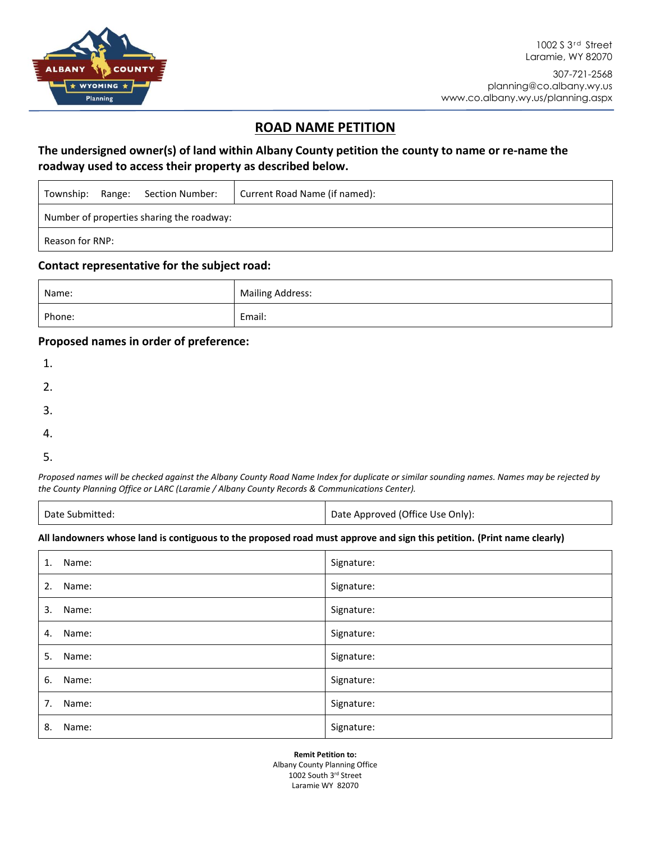

## **ROAD NAME PETITION**

## **The undersigned owner(s) of land within Albany County petition the county to name or re-name the roadway used to access their property as described below.**

| Township:                                 |  | Range: Section Number: | Current Road Name (if named): |  |  |  |
|-------------------------------------------|--|------------------------|-------------------------------|--|--|--|
| Number of properties sharing the roadway: |  |                        |                               |  |  |  |
| Reason for RNP:                           |  |                        |                               |  |  |  |

### **Contact representative for the subject road:**

| Name:  | <b>Mailing Address:</b> |
|--------|-------------------------|
| Phone: | Email:                  |

### **Proposed names in order of preference:**

| 1. |  |  |  |
|----|--|--|--|
| 2. |  |  |  |
| 3. |  |  |  |
| 4. |  |  |  |
|    |  |  |  |

5.

*Proposed names will be checked against the Albany County Road Name Index for duplicate or similar sounding names. Names may be rejected by the County Planning Office or LARC (Laramie / Albany County Records & Communications Center).*

| Date Submitted: | Date Approved (Office Use Only): |
|-----------------|----------------------------------|
|-----------------|----------------------------------|

#### **All landowners whose land is contiguous to the proposed road must approve and sign this petition. (Print name clearly)**

| 1. | Name:    | Signature: |
|----|----------|------------|
| 2. | Name:    | Signature: |
| 3. | Name:    | Signature: |
| 4. | Name:    | Signature: |
| 5. | Name:    | Signature: |
| 6. | Name:    | Signature: |
|    | 7. Name: | Signature: |
| 8. | Name:    | Signature: |

**Remit Petition to:**

Albany County Planning Office 1002 South 3rd Street Laramie WY 82070